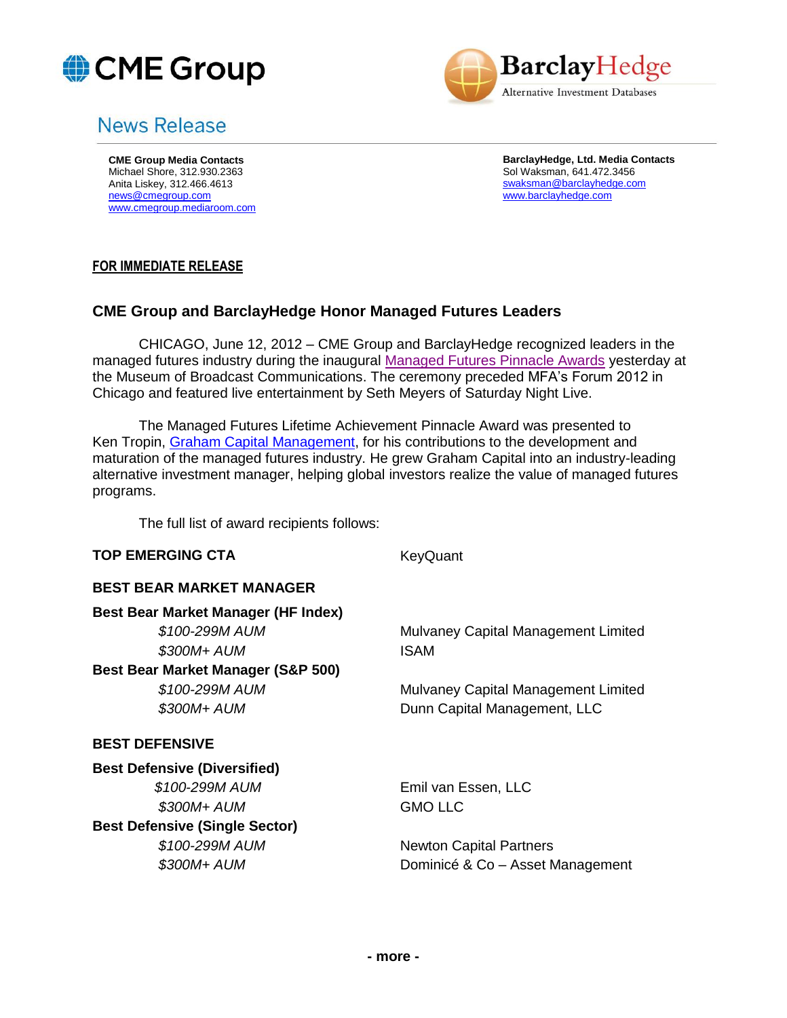



# News Release

**CME Group Media Contacts** Michael Shore, 312.930.2363 Anita Liskey, 312.466.4613 [news@cmegroup.com](mailto:news@cmegroup.com) [www.cmegroup.mediaroom.com](http://www.cmegroup.mediaroom.com/) **BarclayHedge, Ltd. Media Contacts** Sol Waksman, 641.472.3456 [swaksman@barclayhedge.com](mailto:swaksman@barclayhedge.com) [www.barclayhedge.com](http://www.barclayhedge.com/)

## **FOR IMMEDIATE RELEASE**

# **CME Group and BarclayHedge Honor Managed Futures Leaders**

CHICAGO, June 12, 2012 – CME Group and BarclayHedge recognized leaders in the managed futures industry during the inaugural [Managed Futures Pinnacle Awards](http://www.mfpawards.com/) yesterday at the Museum of Broadcast Communications. The ceremony preceded MFA's Forum 2012 in Chicago and featured live entertainment by Seth Meyers of Saturday Night Live.

The Managed Futures Lifetime Achievement Pinnacle Award was presented to Ken Tropin, [Graham Capital Management,](https://www.grahamcapital.com/) for his contributions to the development and maturation of the managed futures industry. He grew Graham Capital into an industry-leading alternative investment manager, helping global investors realize the value of managed futures programs.

The full list of award recipients follows:

#### **TOP EMERGING CTA** KeyQuant

#### **BEST BEAR MARKET MANAGER**

**Best Bear Market Manager (HF Index)**  *\$100-299M AUM* Mulvaney Capital Management Limited  *\$300M+ AUM* ISAM **Best Bear Market Manager (S&P 500)**  *\$100-299M AUM* Mulvaney Capital Management Limited  *\$300M+ AUM* Dunn Capital Management, LLC **BEST DEFENSIVE Best Defensive (Diversified)**  *\$100-299M AUM* Emil van Essen, LLC  *\$300M+ AUM* GMO LLC **Best Defensive (Single Sector)**  *\$100-299M AUM* Newton Capital Partners  *\$300M+ AUM* Dominicé & Co – Asset Management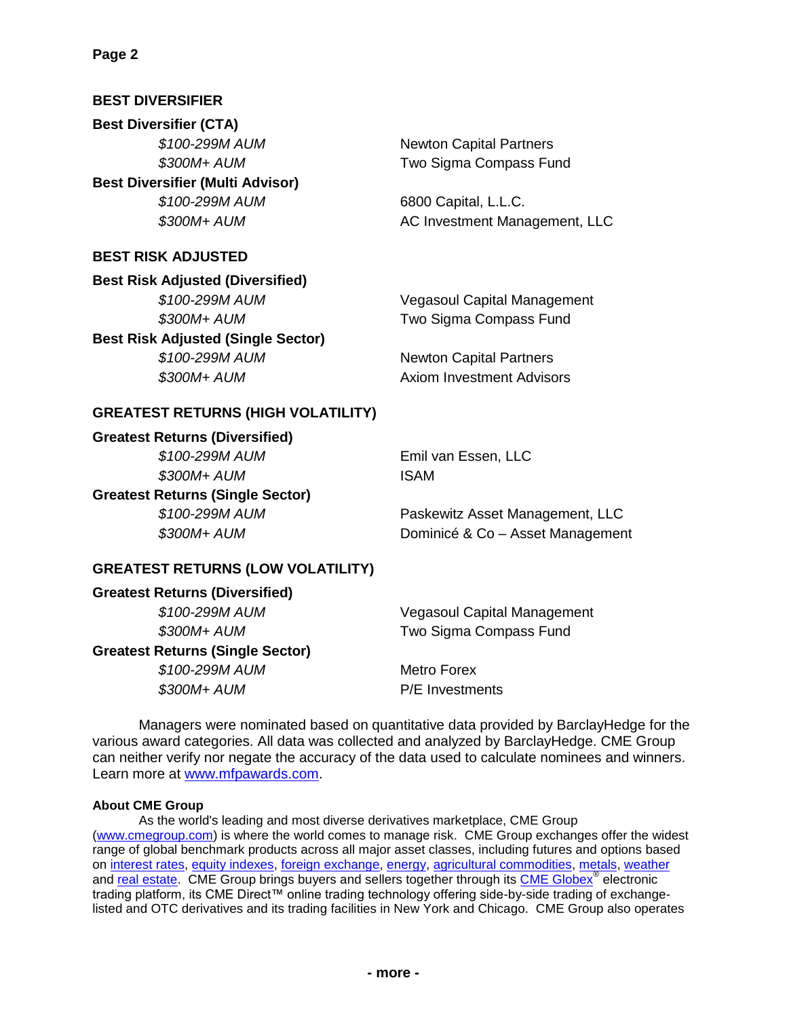# **BEST DIVERSIFIER**

**Best Diversifier (CTA)**  *\$100-299M AUM* Newton Capital Partners **Best Diversifier (Multi Advisor)**  *\$100-299M AUM* 6800 Capital, L.L.C.

# **BEST RISK ADJUSTED**

**Best Risk Adjusted (Diversified)**

**Best Risk Adjusted (Single Sector)**

 *\$300M+ AUM* Two Sigma Compass Fund

 *\$300M+ AUM* AC Investment Management, LLC

 *\$100-299M AUM* Vegasoul Capital Management  *\$300M+ AUM* Two Sigma Compass Fund

 *\$100-299M AUM* Newton Capital Partners  *\$300M+ AUM* Axiom Investment Advisors

## **GREATEST RETURNS (HIGH VOLATILITY)**

**Greatest Returns (Diversified)**

 *\$300M+ AUM* ISAM

**Greatest Returns (Single Sector)**

 *\$100-299M AUM* Emil van Essen, LLC

 *\$100-299M AUM* Paskewitz Asset Management, LLC  *\$300M+ AUM* Dominicé & Co – Asset Management

## **GREATEST RETURNS (LOW VOLATILITY)**

**Greatest Returns (Diversified)**

 *\$100-299M AUM* Vegasoul Capital Management  *\$300M+ AUM* Two Sigma Compass Fund

# **Greatest Returns (Single Sector)**

 *\$100-299M AUM* Metro Forex

 *\$300M+ AUM* P/E Investments

Managers were nominated based on quantitative data provided by BarclayHedge for the various award categories. All data was collected and analyzed by BarclayHedge. CME Group can neither verify nor negate the accuracy of the data used to calculate nominees and winners. Learn more at [www.mfpawards.com.](http://www.mfpawards.com/)

#### **About CME Group**

As the world's leading and most diverse derivatives marketplace, CME Group [\(www.cmegroup.com\)](http://www.cmegroup.com/) is where the world comes to manage risk. CME Group exchanges offer the widest range of global benchmark products across all major asset classes, including futures and options based on [interest rates,](http://www.cmegroup.com/trading/interest-rates/index.html) [equity indexes,](http://www.cmegroup.com/trading/equity-index/index.html) [foreign exchange,](http://www.cmegroup.com/trading/fx/) [energy,](http://www.cmegroup.com/trading/energy/) [agricultural commodities,](http://www.cmegroup.com/trading/agricultural/) [metals,](http://www.cmegroup.com/trading/metals/) [weather](http://www.cmegroup.com/trading/weather/) and [real estate.](http://www.cmegroup.com/trading/real-estate/) CME Group brings buyers and sellers together through its [CME Globex](http://www.cmegroup.com/globex/index.html)<sup>®</sup> electronic trading platform, its CME Direct™ online trading technology offering side-by-side trading of exchangelisted and OTC derivatives and its trading facilities in New York and Chicago. CME Group also operates